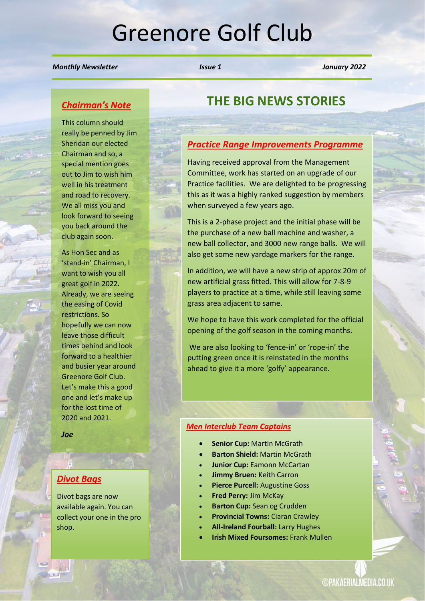# Greenore Golf Club

#### *Monthly Newsletter Issue 1 January 2022*

### *Chairman's Note*

This column should really be penned by Jim Sheridan our elected Chairman and so, a special mention goes out to Jim to wish him well in his treatment and road to recovery. We all miss you and look forward to seeing you back around the club again soon.

As Hon Sec and as 'stand-in' Chairman, I want to wish you all great golf in 2022. Already, we are seeing the easing of Covid restrictions. So hopefully we can now leave those difficult times behind and look forward to a healthier and busier year around Greenore Golf Club. Let's make this a good one and let's make up for the lost time of 2020 and 2021.

*Joe*

#### *Divot Bags*

Divot bags are now available again. You can collect your one in the pro shop.

# **THE BIG NEWS STORIES**

#### *Practice Range Improvements Programme*

Having received approval from the Management Committee, work has started on an upgrade of our Practice facilities. We are delighted to be progressing this as it was a highly ranked suggestion by members when surveyed a few years ago.

This is a 2-phase project and the initial phase will be the purchase of a new ball machine and washer, a new ball collector, and 3000 new range balls. We will also get some new yardage markers for the range.

In addition, we will have a new strip of approx 20m of new artificial grass fitted. This will allow for 7-8-9 players to practice at a time, while still leaving some grass area adjacent to same.

We hope to have this work completed for the official opening of the golf season in the coming months.

We are also looking to 'fence-in' or 'rope-in' the putting green once it is reinstated in the months ahead to give it a more 'golfy' appearance.

#### *Men Interclub Team Captains*

- **Senior Cup:** Martin McGrath
- **Barton Shield:** Martin McGrath
- **Junior Cup:** Eamonn McCartan
- **Jimmy Bruen:** Keith Carron
- **Pierce Purcell:** Augustine Goss
- **Fred Perry:** Jim McKay
- **Barton Cup:** Sean og Crudden
- **Provincial Towns:** Ciaran Crawley
- **All-Ireland Fourball:** Larry Hughes
- **Irish Mixed Foursomes:** Frank Mullen

**©PAKAERIALMEDIA.CO.UK**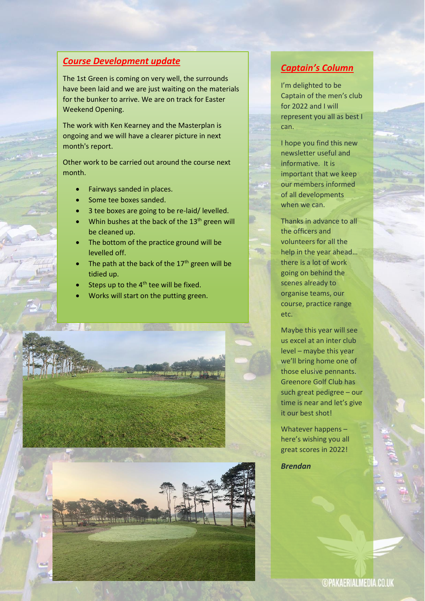## *Course Development update*

The 1st Green is coming on very well, the surrounds have been laid and we are just waiting on the materials for the bunker to arrive. We are on track for Easter Weekend Opening.

The work with Ken Kearney and the Masterplan is ongoing and we will have a clearer picture in next month's report.

Other work to be carried out around the course next month.

- Fairways sanded in places.
- Some tee boxes sanded.
- 3 tee boxes are going to be re-laid/ levelled.
- Whin bushes at the back of the 13<sup>th</sup> green will be cleaned up.
- The bottom of the practice ground will be levelled off.
- The path at the back of the  $17<sup>th</sup>$  green will be tidied up.
- Steps up to the  $4<sup>th</sup>$  tee will be fixed.

• Works will start on the putting green.



## *Captain's Column*

I'm delighted to be Captain of the men's club for 2022 and I will represent you all as best I can.

I hope you find this new newsletter useful and informative. It is important that we keep our members informed of all developments when we can.

Thanks in advance to all the officers and volunteers for all the help in the year ahead… there is a lot of work going on behind the scenes already to organise teams, our course, practice range etc.

Maybe this year will see us excel at an inter club level – maybe this year we'll bring home one of those elusive pennants. Greenore Golf Club has such great pedigree – our time is near and let's give it our best shot!

Whatever happens – here's wishing you all great scores in 2022!

*Brendan*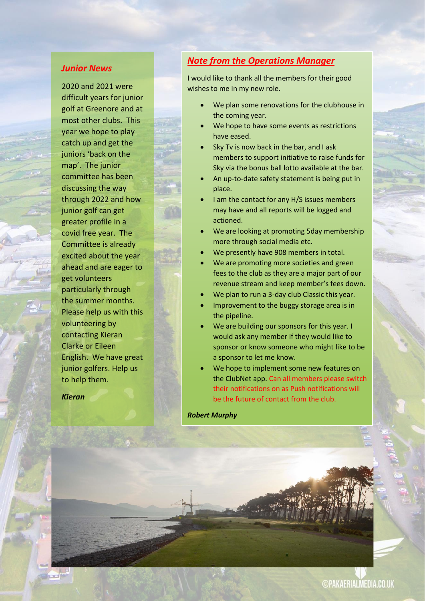#### *Junior News*

2020 and 2021 were difficult years for junior golf at Greenore and at most other clubs. This year we hope to play catch up and get the juniors 'back on the map'. The junior committee has been discussing the way through 2022 and how junior golf can get greater profile in a covid free year. The Committee is already excited about the year ahead and are eager to get volunteers particularly through the summer months. Please help us with this volunteering by contacting Kieran Clarke or Eileen English. We have great junior golfers. Help us to help them.

*Kieran*

# *Note from the Operations Manager*

I would like to thank all the members for their good wishes to me in my new role.

- We plan some renovations for the clubhouse in the coming year.
- We hope to have some events as restrictions have eased.
- Sky Tv is now back in the bar, and I ask members to support initiative to raise funds for Sky via the bonus ball lotto available at the bar.
- An up-to-date safety statement is being put in place.
- I am the contact for any H/S issues members may have and all reports will be logged and actioned.
- We are looking at promoting 5day membership more through social media etc.
- We presently have 908 members in total.
- We are promoting more societies and green fees to the club as they are a major part of our revenue stream and keep member's fees down.
- We plan to run a 3-day club Classic this year.
- Improvement to the buggy storage area is in the pipeline.
- We are building our sponsors for this year. I would ask any member if they would like to sponsor or know someone who might like to be a sponsor to let me know.
- We hope to implement some new features on the ClubNet app. Can all members please switch their notifications on as Push notifications will be the future of contact from the club.

*Robert Murphy*